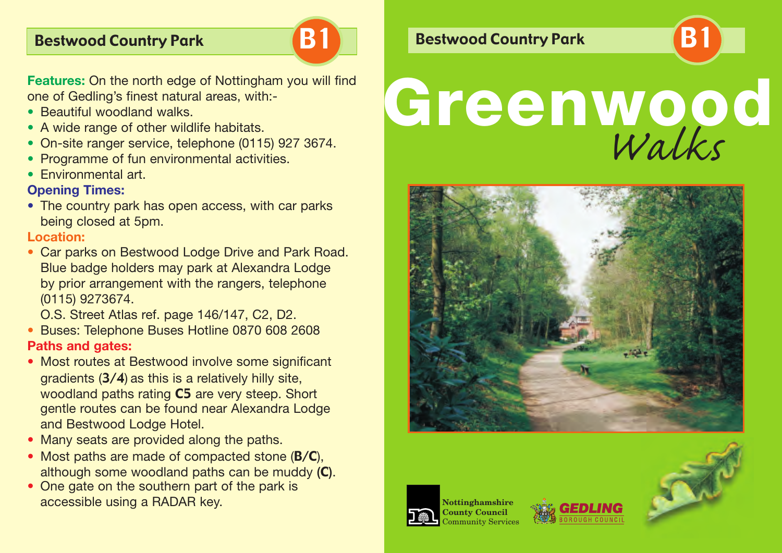

**Features:** On the north edge of Nottingham you will find one of Gedling's finest natural areas, with:

- Beautiful woodland walks.
- A wide range of other wildlife habitats.
- On-site ranger service, telephone (0115) 927 3674.
- Programme of fun environmental activities.
- Fnvironmental art.

### **Opening Times:**

• The country park has open access, with car parks being closed at 5pm.

#### **Location:**

• Car parks on Bestwood Lodge Drive and Park Road. Blue badge holders may park at Alexandra Lodge by prior arrangement with the rangers, telephone (0115) 9273674.

O.S. Street Atlas ref. page 146/147, C2, D2.

- Buses: Telephone Buses Hotline 0870 608 2608 **Paths and gates:**
- Most routes at Bestwood involve some significant gradients (3/4) as this is a relatively hilly site, woodland paths rating **C5** are very steep. Short gentle routes can be found near Alexandra Lodge and Bestwood Lodge Hotel.
- Many seats are provided along the paths.
- Most paths are made of compacted stone  $(B/C)$ , although some woodland paths can be muddy (C).
- One gate on the southern part of the park is accessible using a RADAR key.

## Bestwood Country Park **B1 B1 Bestwood Country Park**

# **Greenwood** *Walks*